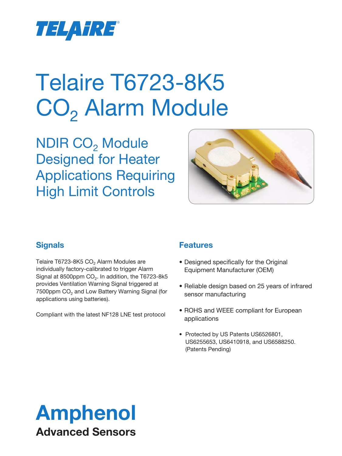

# Telaire T6723-8K5 CO<sub>2</sub> Alarm Module

NDIR CO<sub>2</sub> Module Designed for Heater Applications Requiring High Limit Controls



## **Signals**

Telaire T6723-8K5 CO<sub>2</sub> Alarm Modules are individually factory-calibrated to trigger Alarm Signal at 8500ppm  $CO<sub>2</sub>$ . In addition, the T6723-8k5 provides Ventilation Warning Signal triggered at  $7500$ ppm  $CO<sub>2</sub>$  and Low Battery Warning Signal (for applications using batteries).

Compliant with the latest NF128 LNE test protocol

### **Features**

- Designed specifically for the Original Equipment Manufacturer (OEM)
- Reliable design based on 25 years of infrared sensor manufacturing
- ROHS and WEEE compliant for European applications
- Protected by US Patents US6526801, US6255653, US6410918, and US6588250. (Patents Pending)

## Amphenol Advanced Sensors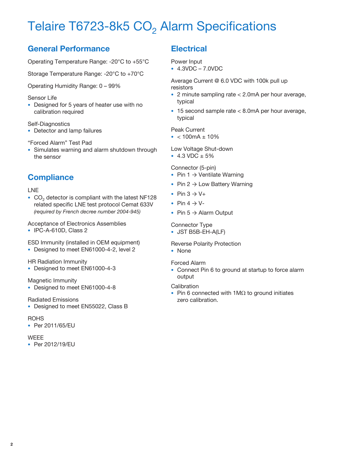## Telaire T6723-8k5  $CO<sub>2</sub>$  Alarm Specifications

## **General Performance**

Operating Temperature Range: -20°C to +55°C

Storage Temperature Range: -20°C to +70°C

Operating Humidity Range: 0 – 99%

#### Sensor Life

• Designed for 5 years of heater use with no calibration required

#### Self-Diagnostics

• Detector and lamp failures

#### "Forced Alarm" Test Pad

• Simulates warning and alarm shutdown through the sensor

### **Compliance**

#### LNE

 $\bullet$  CO<sub>2</sub> detector is compliant with the latest NF128 related specific LNE test protocol Cemat 633V *(required by French decree number 2004-945)*

#### Acceptance of Electronics Assemblies

• IPC-A-610D, Class 2

ESD Immunity (installed in OEM equipment)

• Designed to meet EN61000-4-2, level 2

#### HR Radiation Immunity

• Designed to meet EN61000-4-3

#### Magnetic Immunity

• Designed to meet EN61000-4-8

#### Radiated Emissions

• Designed to meet EN55022, Class B

#### **ROHS**

• Per 2011/65/EU

#### **WEEE**

• Per 2012/19/EU

## **Electrical**

Power Input

• 4.3VDC – 7.0VDC

Average Current @ 6.0 VDC with 100k pull up resistors

- 2 minute sampling rate < 2.0mA per hour average, typical
- 15 second sample rate < 8.0mA per hour average, typical

#### Peak Current

 $\bullet$  < 100mA  $\pm$  10%

#### Low Voltage Shut-down

• 4.3 VDC  $\pm$  5%

#### Connector (5-pin)

- Pin  $1 \rightarrow$  Ventilate Warning
- Pin  $2 \rightarrow$  Low Battery Warning
- Pin  $3 \rightarrow V +$
- Pin  $4 \rightarrow V$ -
- Pin  $5 \rightarrow$  Alarm Output

#### Connector Type

• JST B5B-EH-A(LF)

#### Reverse Polarity Protection

• None

#### Forced Alarm

• Connect Pin 6 to ground at startup to force alarm output

#### **Calibration**

• Pin 6 connected with 1MΩ to ground initiates zero calibration.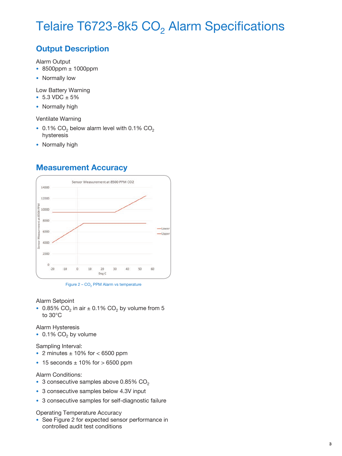## Telaire T6723-8k5 CO<sub>2</sub> Alarm Specifications

## **Output Description**

Alarm Output

- 8500ppm ± 1000ppm
- Normally low

Low Battery Warning

- 5.3 VDC  $\pm$  5%
- Normally high

Ventilate Warning

- 0.1% CO<sub>2</sub> below alarm level with 0.1% CO<sub>2</sub> hysteresis
- Normally high

### **Measurement Accuracy**



Figure  $2 - CO<sub>2</sub>$  PPM Alarm vs temperature

#### Alarm Setpoint

• 0.85% CO<sub>2</sub> in air  $\pm$  0.1% CO<sub>2</sub> by volume from 5 to 30°C

Alarm Hysteresis

• 0.1%  $CO<sub>2</sub>$  by volume

Sampling Interval:

- 2 minutes  $\pm$  10% for  $<$  6500 ppm
- $\cdot$  15 seconds  $\pm$  10% for  $>$  6500 ppm

Alarm Conditions:

- 3 consecutive samples above 0.85%  $CO<sub>2</sub>$
- 3 consecutive samples below 4.3V input
- 3 consecutive samples for self-diagnostic failure

Operating Temperature Accuracy

• See Figure 2 for expected sensor performance in controlled audit test conditions